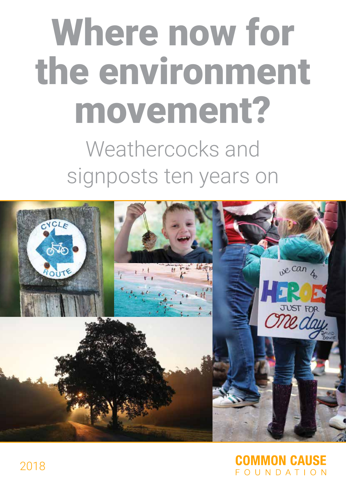# Where now for the environment movement? Weathercocks and signposts ten years on



# **MMON CAUSE** FOUNDATION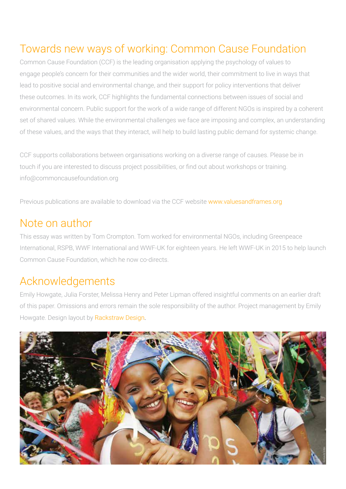# Towards new ways of working: Common Cause Foundation

Common Cause Foundation (CCF) is the leading organisation applying the psychology of values to engage people's concern for their communities and the wider world, their commitment to live in ways that lead to positive social and environmental change, and their support for policy interventions that deliver these outcomes. In its work, CCF highlights the fundamental connections between issues of social and environmental concern. Public support for the work of a wide range of different NGOs is inspired by a coherent set of shared values. While the environmental challenges we face are imposing and complex, an understanding of these values, and the ways that they interact, will help to build lasting public demand for systemic change.

CCF supports collaborations between organisations working on a diverse range of causes. Please be in touch if you are interested to discuss project possibilities, or find out about workshops or training. info@commoncausefoundation.org

Previous publications are available to download via the CCF website www.valuesandframes.org

# Note on author

This essay was written by Tom Crompton. Tom worked for environmental NGOs, including Greenpeace International, RSPB, WWF International and WWF-UK for eighteen years. He left WWF-UK in 2015 to help launch Common Cause Foundation, which he now co-directs.

# Acknowledgements

Emily Howgate, Julia Forster, Melissa Henry and Peter Lipman offered insightful comments on an earlier draft of this paper. Omissions and errors remain the sole responsibility of the author. Project management by Emily Howgate. Design layout by [Rackstraw Design.](http://www.rackstrawdesign.co.uk)

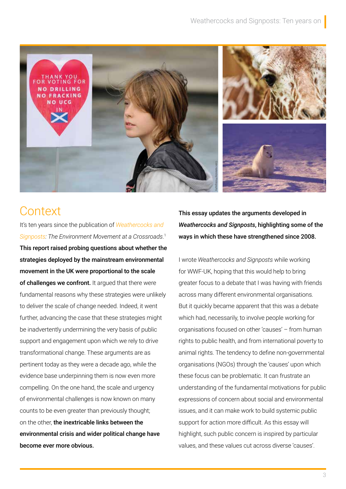

# **Context**

It's ten years since the publication of *[Weathercocks and](https://valuesandframes.org/resources/CCF_report_weathercocks_and_signposts.pdf)  [Signposts: The Environment Movement at a Crossroads](https://valuesandframes.org/resources/CCF_report_weathercocks_and_signposts.pdf)*. 1 This report raised probing questions about whether the strategies deployed by the mainstream environmental movement in the UK were proportional to the scale of challenges we confront. It arqued that there were fundamental reasons why these strategies were unlikely to deliver the scale of change needed. Indeed, it went further, advancing the case that these strategies might be inadvertently undermining the very basis of public support and engagement upon which we rely to drive transformational change. These arguments are as pertinent today as they were a decade ago, while the evidence base underpinning them is now even more compelling. On the one hand, the scale and urgency of environmental challenges is now known on many counts to be even greater than previously thought; on the other, the inextricable links between the environmental crisis and wider political change have become ever more obvious.

This essay updates the arguments developed in *Weathercocks and Signposts*, highlighting some of the ways in which these have strengthened since 2008.

I wrote *Weathercocks and Signposts* while working for WWF-UK, hoping that this would help to bring greater focus to a debate that I was having with friends across many different environmental organisations. But it quickly became apparent that this was a debate which had, necessarily, to involve people working for organisations focused on other 'causes' – from human rights to public health, and from international poverty to animal rights. The tendency to define non-governmental organisations (NGOs) through the 'causes' upon which these focus can be problematic. It can frustrate an understanding of the fundamental motivations for public expressions of concern about social and environmental issues, and it can make work to build systemic public support for action more difficult. As this essay will highlight, such public concern is inspired by particular values, and these values cut across diverse 'causes'.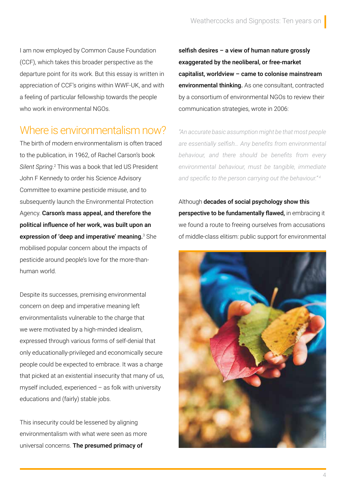I am now employed by Common Cause Foundation (CCF), which takes this broader perspective as the departure point for its work. But this essay is written in appreciation of CCF's origins within WWF-UK, and with a feeling of particular fellowship towards the people who work in environmental NGOs.

# Where is environmentalism now?

The birth of modern environmentalism is often traced to the publication, in 1962, of Rachel Carson's book Silent Spring.<sup>2</sup> This was a book that led US President John F Kennedy to order his Science Advisory Committee to examine pesticide misuse, and to subsequently launch the Environmental Protection Agency. Carson's mass appeal, and therefore the political influence of her work, was built upon an **expression of 'deep and imperative' meaning.** ${}^{3}$  She mobilised popular concern about the impacts of pesticide around people's love for the more-thanhuman world.

Despite its successes, premising environmental concern on deep and imperative meaning left environmentalists vulnerable to the charge that we were motivated by a high-minded idealism, expressed through various forms of self-denial that only educationally-privileged and economically secure people could be expected to embrace. It was a charge that picked at an existential insecurity that many of us, myself included, experienced  $-$  as folk with university educations and (fairly) stable jobs.

This insecurity could be lessened by aligning environmentalism with what were seen as more universal concerns. The presumed primacy of

selfish desires – a view of human nature grossly exaggerated by the neoliberal, or free-market capitalist, worldview – came to colonise mainstream environmental thinking. As one consultant, contracted by a consortium of environmental NGOs to review their communication strategies, wrote in 2006:

*"An accurate basic assumption might be that most people are essentially selfish… Any benefits from environmental behaviour, and there should be benefits from every environmental behaviour, must be tangible, immediate*  and specific to the person carrying out the behaviour."<sup>4</sup>

Although decades of social psychology show this perspective to be fundamentally flawed, in embracing it we found a route to freeing ourselves from accusations of middle-class elitism: public support for environmental

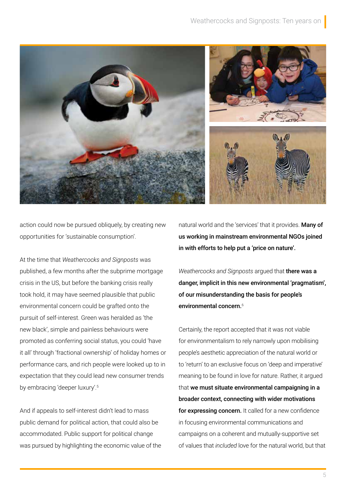

action could now be pursued obliquely, by creating new opportunities for 'sustainable consumption'.

At the time that *Weathercocks and Signposts* was published, a few months after the subprime mortgage crisis in the US, but before the banking crisis really took hold, it may have seemed plausible that public environmental concern could be grafted onto the pursuit of self-interest. Green was heralded as 'the new black', simple and painless behaviours were promoted as conferring social status, you could 'have it all' through 'fractional ownership' of holiday homes or performance cars, and rich people were looked up to in expectation that they could lead new consumer trends by embracing 'deeper luxury'.<sup>5</sup>

And if appeals to self-interest didn't lead to mass public demand for political action, that could also be accommodated. Public support for political change was pursued by highlighting the economic value of the natural world and the 'services' that it provides. Many of us working in mainstream environmental NGOs joined in with efforts to help put a 'price on nature'.

*Weathercocks and Signposts* argued that there was a danger, implicit in this new environmental 'pragmatism', of our misunderstanding the basis for people's environmental concern.<sup>6</sup>

Certainly, the report accepted that it was not viable for environmentalism to rely narrowly upon mobilising people's aesthetic appreciation of the natural world or to 'return' to an exclusive focus on 'deep and imperative' meaning to be found in love for nature. Rather, it argued that we must situate environmental campaigning in a broader context, connecting with wider motivations for expressing concern. It called for a new confidence in focusing environmental communications and campaigns on a coherent and mutually-supportive set natural world and the 'services' that it provides. **Many of**<br> **us working in mainstream environmental NGOs joined**<br> **in with efforts to help put a 'price on nature'.**<br> *Weathercocks and Signposts* argued that **there was a**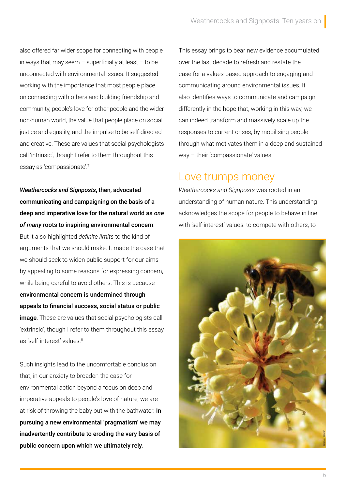also offered far wider scope for connecting with people in ways that may seem  $-$  superficially at least  $-$  to be unconnected with environmental issues. It suggested working with the importance that most people place on connecting with others and building friendship and community, people's love for other people and the wider non-human world, the value that people place on social justice and equality, and the impulse to be self-directed and creative. These are values that social psychologists call 'intrinsic', though I refer to them throughout this essay as 'compassionate'.<sup>7</sup>

*Weathercocks and Signposts*, then, advocated communicating and campaigning on the basis of a deep and imperative love for the natural world as *one of many* roots to inspiring environmental concern.

But it also highlighted *definite limits* to the kind of arguments that we should make. It made the case that we should seek to widen public support for our aims by appealing to some reasons for expressing concern, while being careful to avoid others. This is because environmental concern is undermined through appeals to financial success, social status or public **image**. These are values that social psychologists call 'extrinsic', though I refer to them throughout this essay as 'self-interest' values.<sup>8</sup>

Such insights lead to the uncomfortable conclusion that, in our anxiety to broaden the case for environmental action beyond a focus on deep and imperative appeals to people's love of nature, we are at risk of throwing the baby out with the bathwater. In pursuing a new environmental 'pragmatism' we may inadvertently contribute to eroding the very basis of public concern upon which we ultimately rely.

This essay brings to bear new evidence accumulated over the last decade to refresh and restate the case for a values-based approach to engaging and communicating around environmental issues. It also identifies ways to communicate and campaign differently in the hope that, working in this way, we can indeed transform and massively scale up the responses to current crises, by mobilising people through what motivates them in a deep and sustained way – their 'compassionate' values.

## Love trumps money

*Weathercocks and Signposts* was rooted in an understanding of human nature. This understanding acknowledges the scope for people to behave in line with 'self-interest' values: to compete with others, to

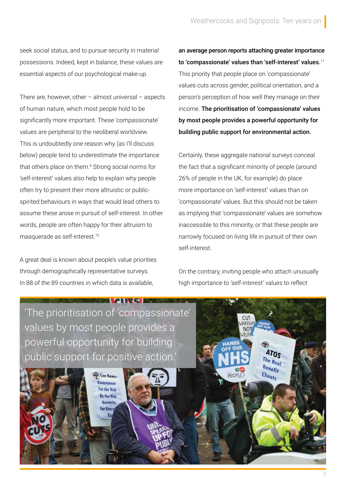seek social status, and to pursue security in material possessions. Indeed, kept in balance, these values are essential aspects of our psychological make-up.

There are, however, other  $-$  almost universal  $-$  aspects of human nature, which most people hold to be significantly more important. These 'compassionate' values are peripheral to the neoliberal worldview. This is undoubtedly one reason why (as I'll discuss below) people tend to underestimate the importance that others place on them.<sup>9</sup> Strong social norms for 'self-interest' values also help to explain why people often try to present their more altruistic or publicspirited behaviours in ways that would lead others to assume these arose in pursuit of self-interest. In other words, people are often happy for their altruism to masquerade as self-interest.<sup>10</sup>

A great deal is known about people's value priorities through demographically representative surveys. In 88 of the 89 countries in which data is available,

an average person reports attaching greater importance to 'compassionate' values than 'self-interest' values.<sup>11</sup> This priority that people place on 'compassionate' values cuts across gender, political orientation, and a person's perception of how well they manage on their income. The prioritisation of 'compassionate' values by most people provides a powerful opportunity for building public support for environmental action.

Certainly, these aggregate national surveys conceal the fact that a significant minority of people (around 26% of people in the UK, for example) do place more importance on 'self-interest' values than on 'compassionate' values. But this should not be taken as implying that 'compassionate' values are somehow inaccessible to this minority, or that these people are narrowly focused on living life in pursuit of their own self-interest.

On the contrary, inviting people who attach unusually high importance to 'self-interest' values to reflect

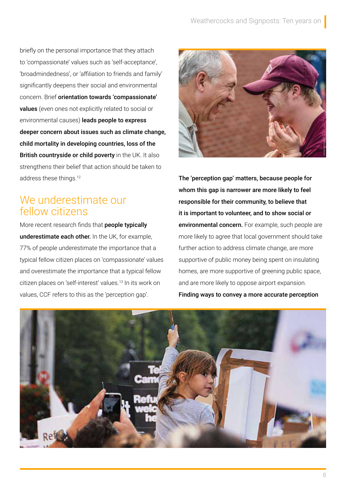briefly on the personal importance that they attach to 'compassionate' values such as 'self-acceptance', 'broadmindedness', or 'affiliation to friends and family' significantly deepens their social and environmental concern. Brief orientation towards 'compassionate' values (even ones not explicitly related to social or environmental causes) leads people to express deeper concern about issues such as climate change, child mortality in developing countries, loss of the British countryside or child poverty in the UK. It also strengthens their belief that action should be taken to address these things.<sup>12</sup>

# We underestimate our fellow citizens

More recent research finds that **people typically** underestimate each other. In the UK, for example, 77% of people underestimate the importance that a typical fellow citizen places on 'compassionate' values and overestimate the importance that a typical fellow citizen places on 'self-interest' values.<sup>13</sup> In its work on values, CCF refers to this as the 'perception gap'.



The 'perception gap' matters, because people for whom this gap is narrower are more likely to feel responsible for their community, to believe that it is important to volunteer, and to show social or environmental concern. For example, such people are more likely to agree that local government should take further action to address climate change, are more supportive of public money being spent on insulating homes, are more supportive of greening public space, and are more likely to oppose airport expansion. Finding ways to convey a more accurate perception

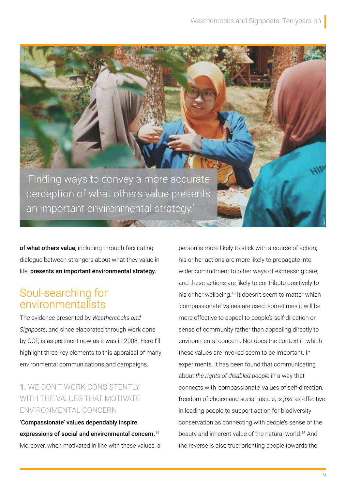'Finding ways to convey a more accurate perception of what others value presents an important environmental strategy.'

of what others value, including through facilitating dialogue between strangers about what they value in life, presents an important environmental strategy.

# Soul-searching for environmentalists

The evidence presented by *Weathercocks and Signposts*, and since elaborated through work done by CCF, is as pertinent now as it was in 2008. Here I'll highlight three key elements to this appraisal of many environmental communications and campaigns.

### **1.** WE DON'T WORK CONSISTENTLY WITH THE VALUES THAT MOTIVATE ENVIRONMENTAL CONCERN

'Compassionate' values dependably inspire expressions of social and environmental concern.<sup>14</sup> Moreover, when motivated in line with these values, a

person is more likely to stick with a course of action; his or her actions are more likely to propagate into wider commitment to other ways of expressing care; and these actions are likely to contribute positively to his or her wellbeing.<sup>15</sup> It doesn't seem to matter which 'compassionate' values are used: sometimes it will be more effective to appeal to people's self-direction or sense of community rather than appealing directly to environmental concern. Nor does the context in which these values are invoked seem to be important. In experiments, it has been found that communicating about *the rights of disabled people* in a way that connects with 'compassionate' values of self-direction, freedom of choice and social justice, is *just* as effective in leading people to support action for biodiversity conservation as connecting with people's sense of the beauty and inherent value of the natural world.<sup>16</sup> And the reverse is also true: orienting people towards the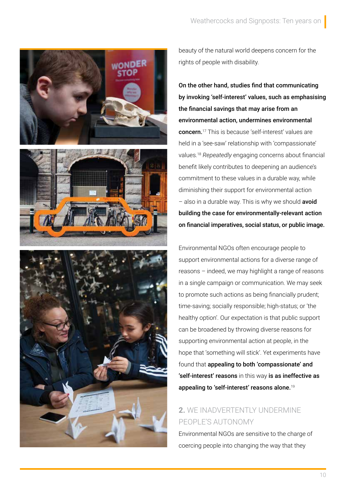

beauty of the natural world deepens concern for the rights of people with disability.

On the other hand, studies find that communicating by invoking 'self-interest' values, such as emphasising the financial savings that may arise from an environmental action, undermines environmental concern.<sup>17</sup> This is because 'self-interest' values are held in a 'see-saw' relationship with 'compassionate' values.<sup>18</sup> *Repeatedly* engaging concerns about financial benefit likely contributes to deepening an audience's commitment to these values in a durable way, while diminishing their support for environmental action  $-$  also in a durable way. This is why we should **avoid** building the case for environmentally-relevant action on financial imperatives, social status, or public image.

Environmental NGOs often encourage people to support environmental actions for a diverse range of reasons – indeed, we may highlight a range of reasons in a single campaign or communication. We may seek to promote such actions as being financially prudent; time-saving; socially responsible; high-status; or 'the healthy option'. Our expectation is that public support can be broadened by throwing diverse reasons for supporting environmental action at people, in the hope that 'something will stick'. Yet experiments have found that appealing to both 'compassionate' and 'self-interest' reasons in this way is as ineffective as appealing to 'self-interest' reasons alone.<sup>19</sup>

### **2.** WE INADVERTENTLY UNDERMINE PEOPLE'S AUTONOMY

Environmental NGOs are sensitive to the charge of coercing people into changing the way that they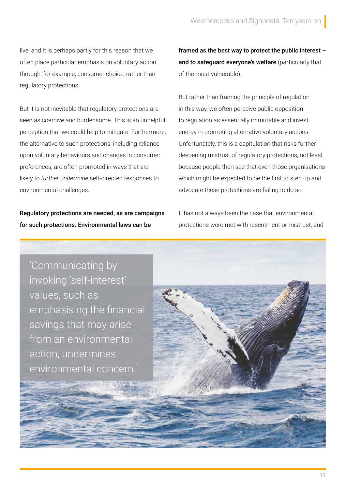live, and it is perhaps partly for this reason that we often place particular emphasis on voluntary action through, for example, consumer choice, rather than regulatory protections.

But it is not inevitable that regulatory protections are seen as coercive and burdensome. This is an unhelpful perception that we could help to mitigate. Furthermore, the alternative to such protections, including reliance upon voluntary behaviours and changes in consumer preferences, are often promoted in ways that are likely to *further undermine* self-directed responses to environmental challenges.

Regulatory protections are needed, as are campaigns for such protections. Environmental laws can be

framed as the best way to protect the public interest – and to safequard everyone's welfare (particularly that of the most vulnerable).

But rather than framing the principle of regulation in this way, we often perceive public opposition to regulation as essentially immutable and invest energy in promoting alternative voluntary actions. Unfortunately, this is a capitulation that risks further deepening mistrust of regulatory protections, not least because people then see that even those organisations which might be expected to be the first to step up and advocate these protections are failing to do so.

It has not always been the case that environmental protections were met with resentment or mistrust, and

'Communicating by invoking 'self-interest' values, such as emphasising the financial savings that may arise from an environmental action, undermines environmental concern.'

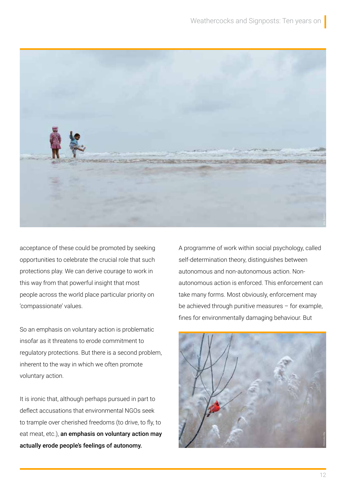

acceptance of these could be promoted by seeking opportunities to celebrate the crucial role that such protections play. We can derive courage to work in this way from that powerful insight that most people across the world place particular priority on 'compassionate' values.

So an emphasis on voluntary action is problematic insofar as it threatens to erode commitment to regulatory protections. But there is a second problem, inherent to the way in which we often promote voluntary action.

It is ironic that, although perhaps pursued in part to deflect accusations that environmental NGOs seek to trample over cherished freedoms (to drive, to fly, to eat meat, etc.), an emphasis on voluntary action may actually erode people's feelings of autonomy.

A programme of work within social psychology, called self-determination theory, distinguishes between autonomous and non-autonomous action. Nonautonomous action is enforced. This enforcement can take many forms. Most obviously, enforcement may be achieved through punitive measures – for example, fines for environmentally damaging behaviour. But

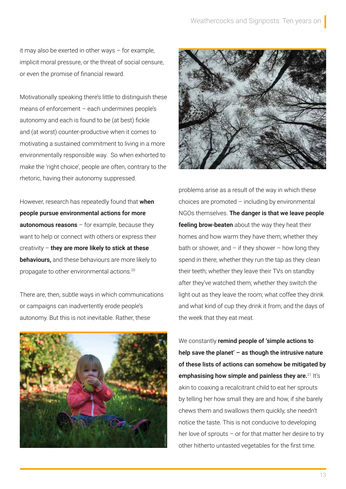it may also be exerted in other ways – for example, implicit moral pressure, or the threat of social censure, or even the promise of financial reward.

Motivationally speaking there's little to distinguish these means of enforcement – each undermines people's autonomy and each is found to be (at best) fickle and (at worst) counter-productive when it comes to motivating a sustained commitment to living in a more environmentally responsible way. So when exhorted to make the 'right choice', people are often, contrary to the rhetoric, having their autonomy suppressed.

However, research has repeatedly found that when people pursue environmental actions for more **autonomous reasons**  $-$  for example, because they want to help or connect with others or express their creativity  $-$  they are more likely to stick at these behaviours, and these behaviours are more likely to propagate to other environmental actions.<sup>20</sup>

There are, then, subtle ways in which communications or campaigns can inadvertently erode people's autonomy. But this is not inevitable. Rather, these





problems arise as a result of the way in which these choices are promoted – including by environmental NGOs themselves. The danger is that we leave people feeling brow-beaten about the way they heat their homes and how warm they have them; whether they bath or shower, and  $-$  if they shower  $-$  how long they spend in there; whether they run the tap as they clean their teeth; whether they leave their TVs on standby after they've watched them; whether they switch the light out as they leave the room; what coffee they drink and what kind of cup they drink it from; and the days of the week that they eat meat.

We constantly remind people of 'simple actions to help save the planet'  $-$  as though the intrusive nature of these lists of actions can somehow be mitigated by emphasising how simple and painless they are. $21$  It's akin to coaxing a recalcitrant child to eat her sprouts by telling her how small they are and how, if she barely chews them and swallows them quickly, she needn't notice the taste. This is not conducive to developing her love of sprouts – or for that matter her desire to try other hitherto untasted vegetables for the first time.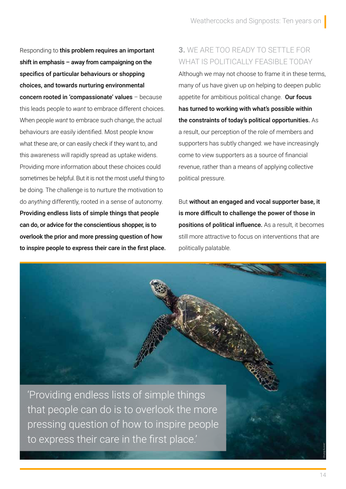Responding to this problem requires an important shift in emphasis – away from campaigning on the specifics of particular behaviours or shopping choices, and towards nurturing environmental concern rooted in 'compassionate' values – because this leads people to *want* to embrace different choices. When people *want* to embrace such change, the actual behaviours are easily identified. Most people know what these are, or can easily check if they want to, and this awareness will rapidly spread as uptake widens. Providing more information about these choices could sometimes be helpful. But it is not the most useful thing to be doing. The challenge is to nurture the motivation to do *anything* differently, rooted in a sense of autonomy. Providing endless lists of simple things that people can do, or advice for the conscientious shopper, is to overlook the prior and more pressing question of how to inspire people to express their care in the first place.

#### **3.** WE ARE TOO READY TO SETTLE FOR WHAT IS POLITICALLY FEASIBLE TODAY

Although we may not choose to frame it in these terms, many of us have given up on helping to deepen public appetite for ambitious political change. Our focus has turned to working with what's possible within the constraints of today's political opportunities. As a result, our perception of the role of members and supporters has subtly changed: we have increasingly come to view supporters as a source of financial revenue, rather than a means of applying collective political pressure.

But without an engaged and vocal supporter base, it is more difficult to challenge the power of those in positions of political influence. As a result, it becomes still more attractive to focus on interventions that are politically palatable.

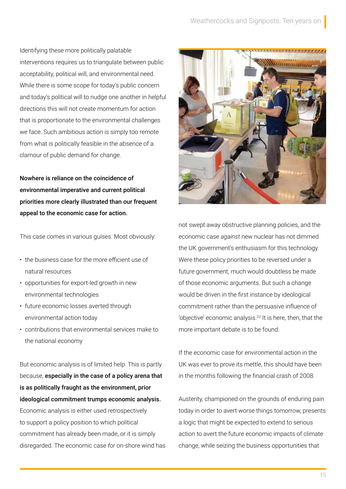Identifying these more politically palatable interventions requires us to triangulate between public acceptability, political will, and environmental need. While there is some scope for today's public concern and today's political will to nudge one another in helpful directions this will not create momentum for action that is proportionate to the environmental challenges we face. Such ambitious action is simply too remote from what is politically feasible in the absence of a clamour of public demand for change.

Nowhere is reliance on the coincidence of environmental imperative and current political priorities more clearly illustrated than our frequent appeal to the economic case for action.

This case comes in various guises. Most obviously:

- the business case for the more efficient use of natural resources
- opportunities for export-led growth in new environmental technologies
- future economic losses averted through environmental action today
- contributions that environmental services make to the national economy

But economic analysis is of limited help. This is partly because, especially in the case of a policy arena that is as politically fraught as the environment, prior ideological commitment trumps economic analysis. Economic analysis is either used retrospectively to support a policy position to which political commitment has already been made, or it is simply disregarded. The economic case *for* on-shore wind has



not swept away obstructive planning policies, and the economic case *against* new nuclear has not dimmed the UK government's enthusiasm for this technology. Were these policy priorities to be reversed under a future government, much would doubtless be made of those economic arguments. But such a change would be driven in the first instance by ideological commitment rather than the persuasive influence of 'objective' economic analysis.<sup>22</sup> It is here, then, that the more important debate is to be found.

If the economic case for environmental action in the UK was ever to prove its mettle, this should have been in the months following the financial crash of 2008.

Austerity, championed on the grounds of enduring pain today in order to avert worse things tomorrow, presents a logic that might be expected to extend to serious action to avert the future economic impacts of climate change, while seizing the business opportunities that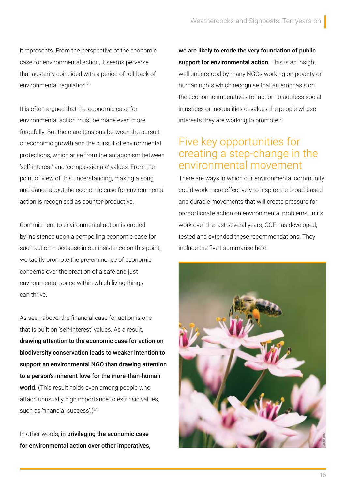it represents. From the perspective of the economic case for environmental action, it seems perverse that austerity coincided with a period of roll-back of environmental regulation<sup>23</sup>

It is often argued that the economic case for environmental action must be made even more forcefully. But there are tensions between the pursuit of economic growth and the pursuit of environmental protections, which arise from the antagonism between 'self-interest' and 'compassionate' values. From the point of view of this understanding, making a song and dance about the economic case for environmental action is recognised as counter-productive.

Commitment to environmental action is eroded by insistence upon a compelling economic case for such action – because in our insistence on this point, we tacitly promote the pre-eminence of economic concerns over the creation of a safe and just environmental space within which living things can thrive.

As seen above, the financial case for action is one that is built on 'self-interest' values. As a result, drawing attention to the economic case for action on biodiversity conservation leads to weaker intention to support an environmental NGO than drawing attention to a person's inherent love for the more-than-human world. (This result holds even among people who attach unusually high importance to extrinsic values, such as 'financial success'.)<sup>24</sup>

In other words, in privileging the economic case for environmental action over other imperatives, we are likely to erode the very foundation of public support for environmental action. This is an insight well understood by many NGOs working on poverty or human rights which recognise that an emphasis on the economic imperatives for action to address social injustices or inequalities devalues the people whose interests they are working to promote.<sup>25</sup>

### Five key opportunities for creating a step-change in the environmental movement

There are ways in which our environmental community could work more effectively to inspire the broad-based and durable movements that will create pressure for proportionate action on environmental problems. In its work over the last several years, CCF has developed, tested and extended these recommendations. They include the five I summarise here:

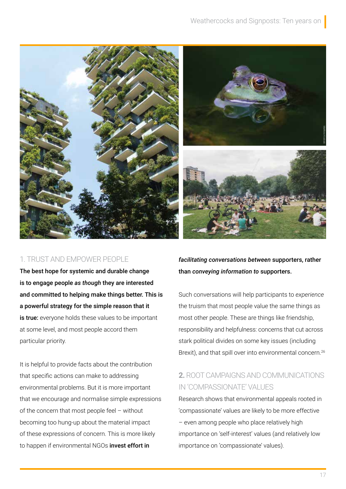

#### 1. TRUST AND EMPOWER PEOPLE

The best hope for systemic and durable change is to engage people *as though* they are interested and committed to helping make things better. This is a powerful strategy for the simple reason that it is true: everyone holds these values to be important at some level, and most people accord them particular priority.

It is helpful to provide facts about the contribution that specific actions can make to addressing environmental problems. But it is more important that we encourage and normalise simple expressions of the concern that most people feel – without becoming too hung-up about the material impact of these expressions of concern. This is more likely to happen if environmental NGOs invest effort in

*facilitating conversations between* supporters, rather than *conveying information to* supporters.

Such conversations will help participants to *experience* the truism that most people value the same things as most other people. These are things like friendship, responsibility and helpfulness: concerns that cut across stark political divides on some key issues (including Brexit), and that spill over into environmental concern.<sup>26</sup>

#### **2.** ROOT CAMPAIGNS AND COMMUNICATIONS IN 'COMPASSIONATE' VALUES

Research shows that environmental appeals rooted in 'compassionate' values are likely to be more effective – even among people who place relatively high importance on 'self-interest' values (and relatively low importance on 'compassionate' values).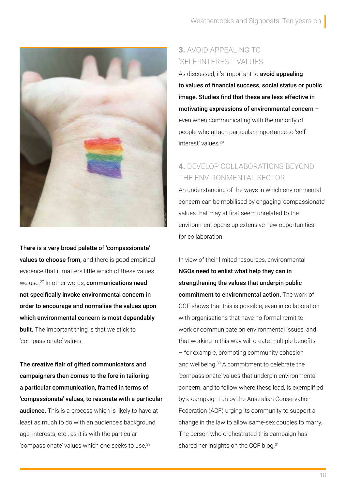

There is a very broad palette of 'compassionate' values to choose from, and there is good empirical evidence that it matters little which of these values we use.<sup>27</sup> In other words, **communications need** not specifically invoke environmental concern in order to encourage and normalise the values upon which environmental concern is most dependably **built.** The important thing is that we stick to 'compassionate' values.

The creative flair of gifted communicators and campaigners then comes to the fore in tailoring a particular communication, framed in terms of 'compassionate' values, to resonate with a particular **audience.** This is a process which is likely to have at least as much to do with an audience's background, age, interests, etc., as it is with the particular 'compassionate' values which one seeks to use.<sup>28</sup>

#### **3.** AVOID APPEALING TO 'SELF-INTEREST' VALUES

As discussed, it's important to **avoid appealing** to values of financial success, social status or public image. Studies find that these are less effective in motivating expressions of environmental concern – even when communicating with the minority of people who attach particular importance to 'selfinterest' values.<sup>29</sup>

### **4.** DEVELOP COLLABORATIONS BEYOND THE ENVIRONMENTAL SECTOR

An understanding of the ways in which environmental concern can be mobilised by engaging 'compassionate' values that may at first seem unrelated to the environment opens up extensive new opportunities for collaboration.

In view of their limited resources, environmental NGOs need to enlist what help they can in strengthening the values that underpin public commitment to environmental action. The work of CCF shows that this is possible, even in collaboration with organisations that have no formal remit to work or communicate on environmental issues, and that working in this way will create multiple benefits – for example, promoting community cohesion and wellbeing.<sup>30</sup> A commitment to celebrate the 'compassionate' values that underpin environmental concern, and to follow where these lead, is exemplified by a campaign run by the Australian Conservation Federation (ACF) urging its community to support a change in the law to allow same-sex couples to marry. The person who orchestrated this campaign has shared her insights on the CCF blog.<sup>31</sup>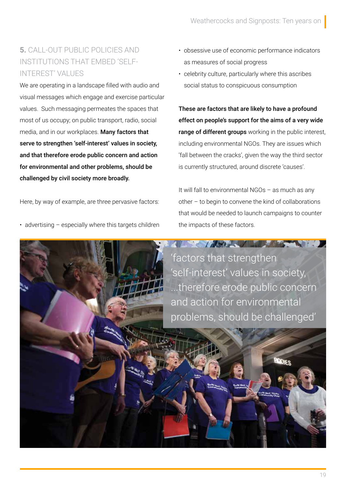#### **5.** CALL-OUT PUBLIC POLICIES AND INSTITUTIONS THAT EMBED 'SELF-INTEREST' VALUES

We are operating in a landscape filled with audio and visual messages which engage and exercise particular values. Such messaging permeates the spaces that most of us occupy; on public transport, radio, social media, and in our workplaces. Many factors that serve to strengthen 'self-interest' values in society, and that therefore erode public concern and action for environmental and other problems, should be challenged by civil society more broadly.

Here, by way of example, are three pervasive factors:

• advertising – especially where this targets children

- obsessive use of economic performance indicators as measures of social progress
- celebrity culture, particularly where this ascribes social status to conspicuous consumption

These are factors that are likely to have a profound effect on people's support for the aims of a very wide range of different groups working in the public interest, including environmental NGOs. They are issues which 'fall between the cracks', given the way the third sector is currently structured, around discrete 'causes'.

It will fall to environmental NGOs – as much as any other – to begin to convene the kind of collaborations that would be needed to launch campaigns to counter the impacts of these factors.

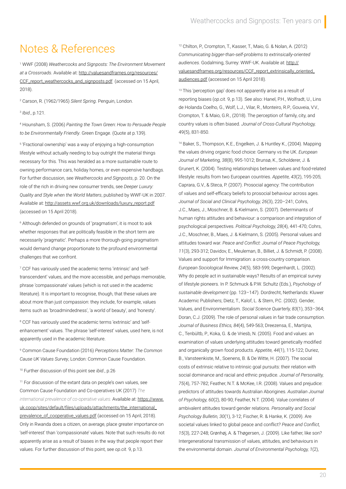# Notes & References

1 WWF (2008) *Weathercocks and Signposts: The Environment Movement at a Crossroads*. Available at: http://valuesandframes.org/resources/ CCF report weathercocks and signposts.pdf (accessed on 15 April, 2018).

2 Carson, R. (1962/1965) *Silent Spring*. Penguin, London.

3 *Ibid*., p.121.

4 Hounsham, S. (2006) *Painting the Town Green: How to Persuade People to be Environmentally Friendly*. Green Engage. (Quote at p.139).

5 'Fractional ownership' was a way of enjoying a high-consumption lifestyle without actually needing to buy outright the material things necessary for this. This was heralded as a more sustainable route to owning performance cars, holiday homes, or even expensive handbags. For further discussion, see *Weathercocks and Signposts*, p. 20. On the role of the rich in driving new consumer trends, see *Deeper Luxury: Quality and Style when the World Matters*, published by WWF-UK in 2007. Available at: http://assets.wwf.org.uk/downloads/luxury\_report.pdf (accessed on 15 April 2018).

6 Although defended on grounds of 'pragmatism', it is moot to ask whether responses that are politically feasible in the short term are necessarily 'pragmatic'. Perhaps a more thorough-going pragmatism would demand change proportionate to the profound environmental challenges that we confront.

7 CCF has variously used the academic terms 'intrinsic' and 'selftranscendent' values, and the more accessible, and perhaps memorable, phrase 'compassionate' values (which is not used in the academic literature). It is important to recognise, though, that these values are about more than just compassion: they include, for example, values items such as 'broadmindedness', 'a world of beauty', and 'honesty'.

<sup>8</sup> CCF has variously used the academic terms 'extrinsic' and 'selfenhancement' values. The phrase 'self-interest' values, used here, is not apparently used in the academic literature.

9 Common Cause Foundation (2016) *Perceptions Matter: The Common Cause UK Values Survey*, London: Common Cause Foundation.

<sup>10</sup> Further discussion of this point see *ibid*., p.26

<sup>11</sup> For discussion of the extant data on people's own values, see Common Cause Foundation and Co-operatives UK (2017) *The international prevalence of co-operative values.* Available at: [https://www.](https://www.uk.coop/sites/default/files/uploads/attachments/the_international_prevalence_of_cooperative_values.pdf) [uk.coop/sites/default/files/uploads/attachments/the\\_international\\_](https://www.uk.coop/sites/default/files/uploads/attachments/the_international_prevalence_of_cooperative_values.pdf) [prevalence\\_of\\_cooperative\\_values.pdf](https://www.uk.coop/sites/default/files/uploads/attachments/the_international_prevalence_of_cooperative_values.pdf) (accessed on 15 April, 2018). Only in Rwanda does a citizen, on average, place greater importance on 'self-interest' than 'compassionate' values. Note that such results do not apparently arise as a result of biases in the way that people report their values. For further discussion of this point, see *op.cit.* 9, p.13.

<sup>12</sup> Chilton, P., Crompton, T., Kasser, T., Maio, G. & Nolan, A. (2012) *Communicating bigger-than-self-problems to extrinsically-oriented audiences.* Godalming, Surrey: WWF-UK. Available at: http:// valuesandframes.org/resources/CCF\_report\_extrinsically\_oriented\_ audiences.pdf (accessed on 15 April 2018).

<sup>13</sup> This 'perception gap' does not apparently arise as a result of reporting biases (*op.cit.* 9, p.13). See also: Hanel, P.H., Wolfradt, U., Lins de Holanda Coelho, G., Wolf, L.J., Vilar, R., Monteiro, R.P., Gouveia, V.V., Crompton, T. & Maio, G.R., (2018). The perception of family, city, and country values is often biased. *Journal of Cross-Cultural Psychology,*  49(5), 831-850.

<sup>14</sup> Baker, S., Thompson, K.E., Engelken, J. & Huntley K., (2004). Mapping the values driving organic food choice: Germany vs the UK. *European Journal of Marketing, 38*(8), 995-1012; Brunsø, K., Scholderer, J. & Grunert, K. (2004). Testing relationships between values and food-related lifestyle: results from two European countries. *Appetite, 43*(2), 195-205; Caprara, G.V., & Steca, P. (2007). Prosocial agency: The contribution of values and self-efficacy beliefs to prosocial behaviour across ages. *Journal of Social and Clinical Psychology, 26*(3), 220–241; Cohrs, J.C., Maes, J., Moschner, B. & Kielmann, S. (2007). Determinants of human rights attitudes and behaviour: a comparison and integration of psychological perspectives. *Political Psychology, 28*(4), 441-470; Cohrs, J.C., Moschner, B., Maes, J. & Kielmann, S. (2005). Personal values and attitudes toward war. *Peace and Conflict: Journal of Peace Psychology, 11*(3), 293-312; Davidov, E., Meuleman, B., Billiet, J. & Schmidt, P. (2008). Values and support for Immigration: a cross-country comparison. *European Sociological Review, 24*(5), 583-599; Degenhardt, L. (2002). Why do people act in sustainable ways? Results of an empirical survey of lifestyle pioneers. In P. Schmuck & P.W. Schultz (Eds.), *Psychology of sustainable development* (pp. 123–147). Dordrecht, Netherlands: Kluwer Academic Publishers; Dietz, T., Kalof, L. & Stern, P.C. (2002). Gender, Values, and Environmentalism. *Social Science Quarterly, 83*(1), 353–364; Doran, C.J. (2009). The role of personal values in fair trade consumption. *Journal of Business Ethics, 84*(4), 549-563; Dreezensa, E., Martijna, C., Tenbültb, P., Koka, G. & de Vriesb, N. (2005). Food and values: an examination of values underlying attitudes toward genetically modified and organically grown food products. *Appetite, 44*(1), 115-122; Duriez, B., Vansteenkiste, M., Soenens, B. & De Witte, H. (2007). The social costs of extrinsic relative to intrinsic goal pursuits: their relation with social dominance and racial and ethnic prejudice. *Journal of Personality, 75*(4), 757-782; Feather, N.T. & McKee, I.R. (2008). Values and prejudice: predictors of attitudes towards Australian Aborigines. *Australian Journal of Psychology, 60*(2), 80-90; Feather, N.T. (2004). Value correlates of ambivalent attitudes toward gender relations. *Personality and Social Psychology Bulletin, 30*(1), 3-12; Fischer, R. & Hanke, K. (2009). Are societal values linked to global peace and conflict? *Peace and Conflict, 15*(3), 227-248; Grønhøj, A. & Thøgersen, J. (2009). Like father, like son? Intergenerational transmission of values, attitudes, and behaviours in the environmental domain. *Journal of Environmental Psychology, 1*(2),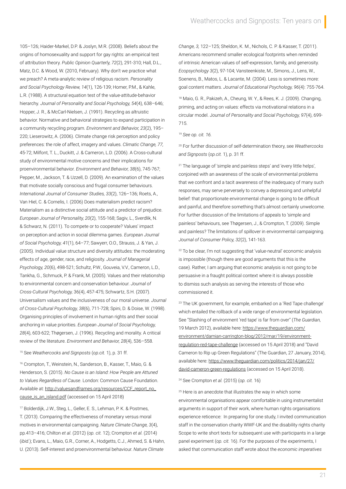105–126; Haider-Markel, D.P. & Joslyn, M.R. (2008). Beliefs about the origins of homosexuality and support for gay rights: an empirical test of attribution theory. *Public Opinion Quarterly, 72*(2), 291-310; Hall, D.L., Matz, D.C. & Wood, W. (2010, February). Why don't we practice what we preach? A meta-analytic review of religious racism. *Personality and Social Psychology Review, 14*(1), 126-139; Homer, P.M., & Kahle, L.R. (1988). A structural equation test of the value-attitude-behavior hierarchy. *Journal of Personality and Social Psychology, 54*(4), 638–646; Hopper, J. R., & McCarl-Nielsen, J. (1991). Recycling as altruistic behavior. Normative and behavioral strategies to expand participation in a community recycling program. *Environment and Behavior, 23*(2), 195– 220; Lieserowitz, A. (2006). Climate change risk perception and policy preferences: the role of affect, imagery and values. *Climatic Change, 77,* 45-72; Milfont, T. L., Duckitt, J. & Cameron, L.D. (2006). A Cross-cultural study of environmental motive concerns and their implications for proenvironmental behavior. *Environment and Behavior, 38*(6), 745-767; Pepper, M., Jackson, T. & Uzzell, D. (2009). An examination of the values that motivate socially conscious and frugal consumer behaviours. *International Journal of Consumer Studies, 33*(2), 126–136; Roets, A., Van Hiel, C. & Cornelis, I. (2006) Does materialism predict racism? Materialism as a distinctive social attitude and a predictor of prejudice. *European Journal of Personality, 20*(2), 155-168; Sagiv, L., Sverdlik, N. & Schwarz, N. (2011). To compete or to cooperate? Values' impact on perception and action in social dilemma games. *European Journal of Social Psychology, 41*(1), 64–77; Sawyerr, O.O., Strauss, J. & Yan, J. (2005). Individual value structure and diversity attitudes: the moderating effects of age, gender, race, and religiosity. *Journal of Managerial Psychology, 20*(6), 498-521; Schultz, P.W., Gouveia, V.V., Cameron, L.D., Tankha, G., Schmuck, P. & Frank, M. (2005). Values and their relationship to environmental concern and conservation behaviour. *Journal of Cross-Cultural Psychology,* 36(4), 457-475; Schwartz, S.H. (2007). Universalism values and the inclusiveness of our moral universe. *Journal of Cross-Cultural Psychology, 38*(6), 711-728; Spini, D. & Doise, W. (1998). Organising principles of involvement in human rights and their social anchoring in value priorities. *European Journal of Social Psychology, 28*(4), 603-622; Thøgersen, J. (1996). Recycling and morality. A critical review of the literature. *Environment and Behavior, 28*(4), 536–558.

<sup>15</sup> See *Weathercocks and Signposts* (*op.cit.* 1), p. 31 ff.

<sup>16</sup> Crompton, T., Weinstein, N., Sanderson, B., Kasser, T., Maio, G. & Henderson, S. (2015). *No Cause is an Island: How People are Attuned to Values Regardless of Cause*. London: Common Cause Foundation. Available at: http://valuesandframes.org/resources/CCF\_report\_no\_ cause\_is\_an\_island.pdf (accessed on 15 April 2018)

<sup>17</sup> Bolderdijk, J.W., Steg, L., Geller, E. S., Lehman, P. K. & Postmes, T. (2013). Comparing the effectiveness of monetary versus moral motives in environmental campaigning. *Nature Climate Change, 3*(4), pp.413–416; Chilton *et al*. (2012) (*op. cit.* 12); Crompton *et al.* (2014) (*ibid*.); Evans, L., Maio, G.R., Corner, A., Hodgetts, C.J., Ahmed, S. & Hahn, U. (2013). Self-interest and proenvironmental behaviour. *Nature Climate* 

*Change, 3,* 122–125; Sheldon, K. M., Nichols, C. P. & Kasser, T. (2011). Americans recommend smaller ecological footprints when reminded of intrinsic American values of self-expression, family, and generosity. *Ecopsychology 3*(2), 97-104; Vansteenkiste, M., Simons, J., Lens, W., Soenens, B., Matos, L. & Lacante, M. (2004). Less is sometimes more: goal content matters. *Journal of Educational Psychology, 96*(4): 755-764.

<sup>18</sup> Maio, G. R., Pakizeh, A., Cheung, W. Y., & Rees, K. J. (2009). Changing, priming, and acting on values: effects via motivational relations in a circular model. J*ournal of Personality and Social Psychology, 97*(4), 699- 715.

<sup>19</sup> *See op. cit. 16.*

<sup>20</sup> For further discussion of self-determination theory, see *Weathercocks and Signposts* (*op.cit.* 1), p. 31 ff.

<sup>21</sup> The language of 'simple and painless steps' and 'every little helps', conjoined with an awareness of the scale of environmental problems that we confront and a tacit awareness of the inadequacy of many such responses, may serve perversely to convey a depressing and unhelpful belief: that proportionate environmental change is going to be difficult and painful, and therefore something that's almost certainly unwelcome. For further discussion of the limitations of appeals to 'simple and painless' behaviours, see Thøgersen, J., & Crompton, T. (2009). Simple and painless? The limitations of spillover in environmental campaigning. *Journal of Consumer Policy, 32*(2), 141-163.

<sup>22</sup> To be clear, I'm not suggesting that 'value-neutral' economic analysis is impossible (though there are good arguments that this is the case). Rather, I am arguing that economic analysis is not going to be persuasive in a fraught political context where it is always possible to dismiss such analysis as serving the interests of those who commissioned it.

<sup>23</sup> The UK government, for example, embarked on a 'Red Tape challenge' which entailed the rollback of a wide range of environmental legislation. See "Slashing of environment 'red tape' is far from over" (*The Guardian,* 19 March 2012), available here: [https://www.theguardian.com/](https://www.theguardian.com/environment/damian-carrington-blog/2012/mar/19/environment-regulation-red-tape-challenge) [environment/damian-carrington-blog/2012/mar/19/environment](https://www.theguardian.com/environment/damian-carrington-blog/2012/mar/19/environment-regulation-red-tape-challenge)[regulation-red-tape-challenge](https://www.theguardian.com/environment/damian-carrington-blog/2012/mar/19/environment-regulation-red-tape-challenge) (accessed on 15 April 2018) and "David Cameron to Rip up Green Regulations" (The Guardian, 27 January, 2014), available here: [https://www.theguardian.com/politics/2014/jan/27/](https://www.theguardian.com/politics/2014/jan/27/david-cameron-green-regulations) [david-cameron-green-regulations](https://www.theguardian.com/politics/2014/jan/27/david-cameron-green-regulations) (accessed on 15 April 2018).

#### <sup>24</sup> See Crompton *et al.* (2015) (*op. cit.* 16)

<sup>25</sup> Here is an anecdote that illustrates the way in which some environmental organisations appear comfortable in using instrumentalist arguments in support of their work, where human rights organisations experience reticence: In preparing for one study, I invited communication staff in the conservation charity WWF-UK and the disability rights charity Scope to write short texts for subsequent use with participants in a large panel experiment (*op. cit.* 16). For the purposes of the experiments, I asked that communication staff wrote about the *economic imperatives*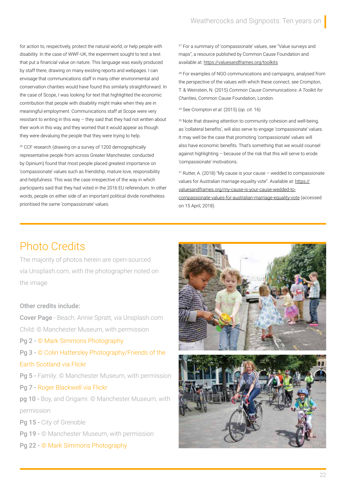for action to, respectively, protect the natural world, or help people with disability. In the case of WWF-UK, the experiment sought to test a text that put a financial value on nature. This language was easily produced by staff there, drawing on many existing reports and webpages. I can envisage that communications staff in many other environmental and conservation charities would have found this similarly straightforward. In the case of Scope, I was looking for text that highlighted the economic contribution that people with disability might make when they are in meaningful employment. Communications staff at Scope were very resistant to writing in this way – they said that they had not written about their work in this way, and they worried that it would appear as though they were devaluing the people that they were trying to help.

<sup>26</sup> CCF research (drawing on a survey of 1200 demographically representative people from across Greater Manchester, conducted by Opinium) found that most people placed greatest importance on 'compassionate' values such as friendship, mature love, responsibility and helpfulness. This was the case irrespective of the way in which participants said that they had voted in the 2016 EU referendum. In other words, people on either side of an important political divide nonetheless prioritised the same 'compassionate' values.

<sup>27</sup> For a summary of 'compassionate' values, see "Value surveys and maps", a resource published by Common Cause Foundation and available at: <https://valuesandframes.org/toolkits>

<sup>28</sup> For examples of NGO communications and campaigns, analysed from the perspective of the values with which these connect, see Crompton, T. & Weinstein, N. (2015) *Common Cause Communications*: *A Toolkit for Charities,* Common Cause Foundation, London.

<sup>29</sup> See Crompton *et al.* (2015) (*op. cit.* 16)

<sup>30</sup> Note that drawing attention to community cohesion and well-being, as 'collateral benefits', will also serve to engage 'compassionate' values. It may well be the case that promoting 'compassionate' values will also have economic benefits. That's something that we would counsel against highlighting – because of the risk that this will serve to erode 'compassionate' motivations.

 $31$  Rutter, A. (2018) "My cause is your cause – wedded to compassionate values for Australian marriage equality vote". Available at: [https://](https://valuesandframes.org/my-cause-is-your-cause-wedded-to-compassionate-values-for-australian-marriage-equality-vote) [valuesandframes.org/my-cause-is-your-cause-wedded-to](https://valuesandframes.org/my-cause-is-your-cause-wedded-to-compassionate-values-for-australian-marriage-equality-vote)[compassionate-values-for-australian-marriage-equality-vote](https://valuesandframes.org/my-cause-is-your-cause-wedded-to-compassionate-values-for-australian-marriage-equality-vote) (accessed on 15 April, 2018).

# Photo Credits

The majority of photos herein are open-sourced via Unsplash.com, with the photographer noted on the image.

#### Other credits include:

Cover Page - Beach: Annie Spratt, via Unsplash.com Child: © Manchester Museum, with permission

- Pg 2 [© Mark Simmons Photography](http://www.marksimmonsphotography.com)
- Pg 3 [© Colin Hattersley Photography/Friends of the](https://www.flickr.com/photos/friendsoftheearthscotland/37192940984/in/photolist-ZF3xSj-YEBxzb-YEBy3W-ZKicEr-ZKicT2-dgtqgQ-dgTK2U-dgTJBz-dgTJVy-dgTJGg-dxJtbQ-dgTKa1-dgTJye-dgTJv6-DYkdjV-rzKHL8-)  [Earth Scotland via Flickr](https://www.flickr.com/photos/friendsoftheearthscotland/37192940984/in/photolist-ZF3xSj-YEBxzb-YEBy3W-ZKicEr-ZKicT2-dgtqgQ-dgTK2U-dgTJBz-dgTJVy-dgTJGg-dxJtbQ-dgTKa1-dgTJye-dgTJv6-DYkdjV-rzKHL8-)
- Pg 5 Family: © Manchester Museum, with permission
- Pg 7 [Roger Blackwell via Flickr](https://www.flickr.com/photos/rogerblackwell/10229035374/in/photolist-aqT9FN-f7YM9C-gnF9Kh-aqQxCr-aqQyrP-gzUtQS-aqT2SW-aqT6B3-aqTbzW-aqQopP-aqQmQz-aqQMwX-gnGK2P-pNjJFy-gzUccb-aqQzde-)

pg 10 - Boy, and Origami: © Manchester Museum, with permission

Pg 15 - City of Grenoble

Pg 19 - © Manchester Museum, with permission

Pg 22 - [© Mark Simmons Photography](http://www.marksimmonsphotography.com)